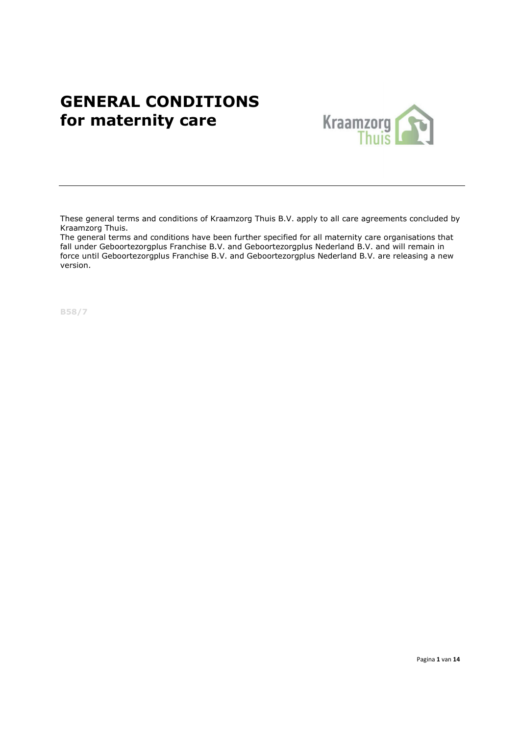# **GENERAL CONDITIONS**<br> **for maternity care Example 18 Kraamzorg** for maternity care



These general terms and conditions of Kraamzorg Thuis B.V. apply to all care agreements concluded by Kraamzorg Thuis.

The general terms and conditions have been further specified for all maternity care organisations that fall under Geboortezorgplus Franchise B.V. and Geboortezorgplus Nederland B.V. and will remain in force until Geboortezorgplus Franchise B.V. and Geboortezorgplus Nederland B.V. are releasing a new version.

B58/7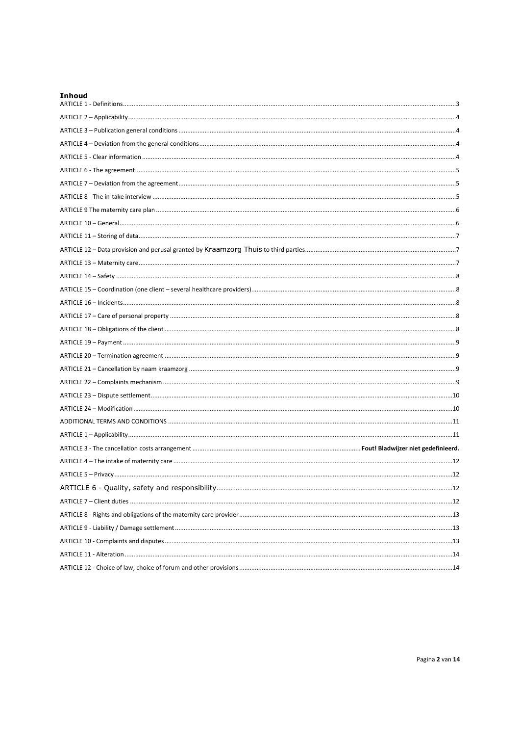| Inhoud |  |
|--------|--|
|        |  |
|        |  |
|        |  |
|        |  |
|        |  |
|        |  |
|        |  |
|        |  |
|        |  |
|        |  |
|        |  |
|        |  |
|        |  |
|        |  |
|        |  |
|        |  |
|        |  |
|        |  |
|        |  |
|        |  |
|        |  |
|        |  |
|        |  |
|        |  |
|        |  |
|        |  |
|        |  |
|        |  |
|        |  |
|        |  |
|        |  |
|        |  |
|        |  |
|        |  |
|        |  |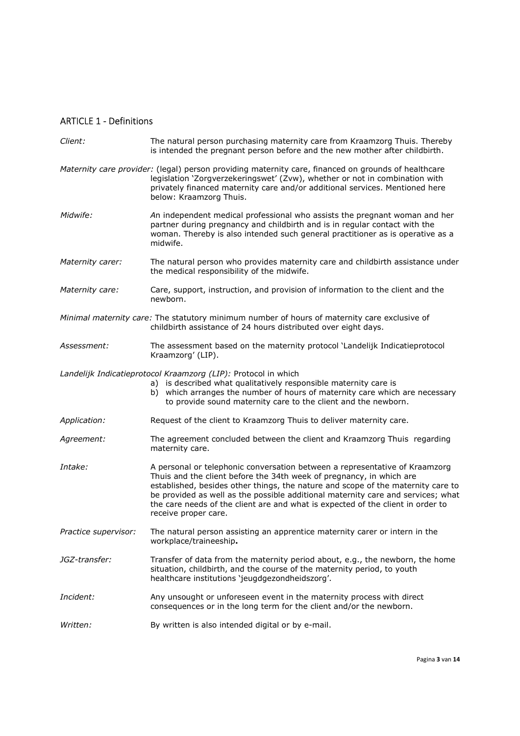# ARTICLE 1 - Definitions

| Client:              | The natural person purchasing maternity care from Kraamzorg Thuis. Thereby<br>is intended the pregnant person before and the new mother after childbirth.                                                                                                                                                                                                                                                                              |
|----------------------|----------------------------------------------------------------------------------------------------------------------------------------------------------------------------------------------------------------------------------------------------------------------------------------------------------------------------------------------------------------------------------------------------------------------------------------|
|                      | Maternity care provider: (legal) person providing maternity care, financed on grounds of healthcare<br>legislation 'Zorgverzekeringswet' (Zvw), whether or not in combination with<br>privately financed maternity care and/or additional services. Mentioned here<br>below: Kraamzorg Thuis.                                                                                                                                          |
| Midwife:             | An independent medical professional who assists the pregnant woman and her<br>partner during pregnancy and childbirth and is in regular contact with the<br>woman. Thereby is also intended such general practitioner as is operative as a<br>midwife.                                                                                                                                                                                 |
| Maternity carer:     | The natural person who provides maternity care and childbirth assistance under<br>the medical responsibility of the midwife.                                                                                                                                                                                                                                                                                                           |
| Maternity care:      | Care, support, instruction, and provision of information to the client and the<br>newborn.                                                                                                                                                                                                                                                                                                                                             |
|                      | Minimal maternity care: The statutory minimum number of hours of maternity care exclusive of<br>childbirth assistance of 24 hours distributed over eight days.                                                                                                                                                                                                                                                                         |
| Assessment:          | The assessment based on the maternity protocol 'Landelijk Indicatieprotocol<br>Kraamzorg' (LIP).                                                                                                                                                                                                                                                                                                                                       |
|                      | Landelijk Indicatieprotocol Kraamzorg (LIP): Protocol in which<br>a) is described what qualitatively responsible maternity care is<br>b) which arranges the number of hours of maternity care which are necessary<br>to provide sound maternity care to the client and the newborn.                                                                                                                                                    |
| Application:         | Request of the client to Kraamzorg Thuis to deliver maternity care.                                                                                                                                                                                                                                                                                                                                                                    |
| Agreement:           | The agreement concluded between the client and Kraamzorg Thuis regarding<br>maternity care.                                                                                                                                                                                                                                                                                                                                            |
| Intake:              | A personal or telephonic conversation between a representative of Kraamzorg<br>Thuis and the client before the 34th week of pregnancy, in which are<br>established, besides other things, the nature and scope of the maternity care to<br>be provided as well as the possible additional maternity care and services; what<br>the care needs of the client are and what is expected of the client in order to<br>receive proper care. |
| Practice supervisor: | The natural person assisting an apprentice maternity carer or intern in the<br>workplace/traineeship.                                                                                                                                                                                                                                                                                                                                  |
| JGZ-transfer:        | Transfer of data from the maternity period about, e.g., the newborn, the home<br>situation, childbirth, and the course of the maternity period, to youth<br>healthcare institutions 'jeugdgezondheidszorg'.                                                                                                                                                                                                                            |
| Incident:            | Any unsought or unforeseen event in the maternity process with direct<br>consequences or in the long term for the client and/or the newborn.                                                                                                                                                                                                                                                                                           |
| Written:             | By written is also intended digital or by e-mail.                                                                                                                                                                                                                                                                                                                                                                                      |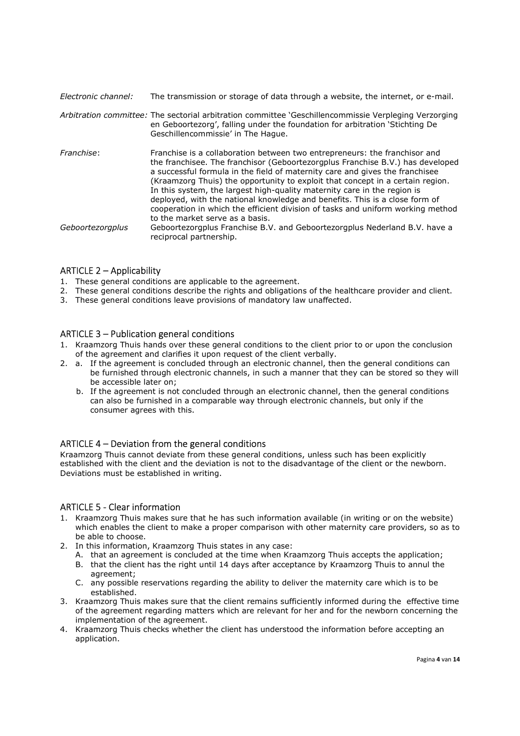Electronic channel: The transmission or storage of data through a website, the internet, or e-mail.

Arbitration committee: The sectorial arbitration committee 'Geschillencommissie Verpleging Verzorging en Geboortezorg', falling under the foundation for arbitration 'Stichting De Geschillencommissie' in The Hague. Franchise: Franchise is a collaboration between two entrepreneurs: the franchisor and the franchisee. The franchisor (Geboortezorgplus Franchise B.V.) has developed a successful formula in the field of maternity care and gives the franchisee (Kraamzorg Thuis) the opportunity to exploit that concept in a certain region. In this system, the largest high-quality maternity care in the region is deployed, with the national knowledge and benefits. This is a close form of cooperation in which the efficient division of tasks and uniform working method to the market serve as a basis. Geboortezorgplus Geboortezorgplus Franchise B.V. and Geboortezorgplus Nederland B.V. have a reciprocal partnership.

# ARTICLE 2 – Applicability

- 1. These general conditions are applicable to the agreement.
- 2. These general conditions describe the rights and obligations of the healthcare provider and client.
- 3. These general conditions leave provisions of mandatory law unaffected.

## ARTICLE 3 – Publication general conditions

- 1. Kraamzorg Thuis hands over these general conditions to the client prior to or upon the conclusion of the agreement and clarifies it upon request of the client verbally.
- 2. a. If the agreement is concluded through an electronic channel, then the general conditions can be furnished through electronic channels, in such a manner that they can be stored so they will be accessible later on;
	- b. If the agreement is not concluded through an electronic channel, then the general conditions can also be furnished in a comparable way through electronic channels, but only if the consumer agrees with this.

# ARTICLE 4 – Deviation from the general conditions

Kraamzorg Thuis cannot deviate from these general conditions, unless such has been explicitly established with the client and the deviation is not to the disadvantage of the client or the newborn. Deviations must be established in writing.

#### ARTICLE 5 - Clear information

- 1. Kraamzorg Thuis makes sure that he has such information available (in writing or on the website) which enables the client to make a proper comparison with other maternity care providers, so as to be able to choose.
- 2. In this information, Kraamzorg Thuis states in any case:
	- A. that an agreement is concluded at the time when Kraamzorg Thuis accepts the application; B. that the client has the right until 14 days after acceptance by Kraamzorg Thuis to annul the
	- agreement; C. any possible reservations regarding the ability to deliver the maternity care which is to be established.
- 3. Kraamzorg Thuis makes sure that the client remains sufficiently informed during the effective time of the agreement regarding matters which are relevant for her and for the newborn concerning the implementation of the agreement.
- 4. Kraamzorg Thuis checks whether the client has understood the information before accepting an application.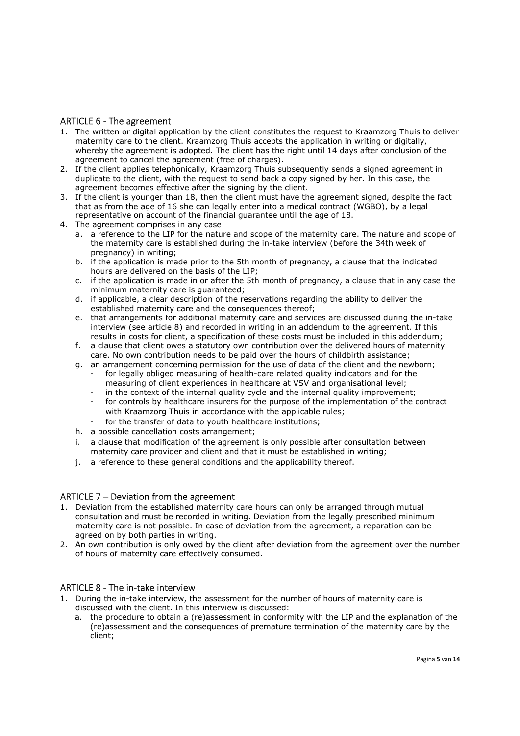## ARTICLE 6 - The agreement

- 1. The written or digital application by the client constitutes the request to Kraamzorg Thuis to deliver maternity care to the client. Kraamzorg Thuis accepts the application in writing or digitally, whereby the agreement is adopted. The client has the right until 14 days after conclusion of the agreement to cancel the agreement (free of charges).
- 2. If the client applies telephonically, Kraamzorg Thuis subsequently sends a signed agreement in duplicate to the client, with the request to send back a copy signed by her. In this case, the agreement becomes effective after the signing by the client.
- 3. If the client is younger than 18, then the client must have the agreement signed, despite the fact that as from the age of 16 she can legally enter into a medical contract (WGBO), by a legal representative on account of the financial guarantee until the age of 18.
- 4. The agreement comprises in any case:
	- a. a reference to the LIP for the nature and scope of the maternity care. The nature and scope of the maternity care is established during the in-take interview (before the 34th week of pregnancy) in writing;
	- b. if the application is made prior to the 5th month of pregnancy, a clause that the indicated hours are delivered on the basis of the LIP;
	- c. if the application is made in or after the 5th month of pregnancy, a clause that in any case the minimum maternity care is guaranteed;
	- d. if applicable, a clear description of the reservations regarding the ability to deliver the established maternity care and the consequences thereof;
	- e. that arrangements for additional maternity care and services are discussed during the in-take interview (see article 8) and recorded in writing in an addendum to the agreement. If this results in costs for client, a specification of these costs must be included in this addendum;
	- f. a clause that client owes a statutory own contribution over the delivered hours of maternity care. No own contribution needs to be paid over the hours of childbirth assistance;
	- g. an arrangement concerning permission for the use of data of the client and the newborn; - for legally obliged measuring of health-care related quality indicators and for the
		- measuring of client experiences in healthcare at VSV and organisational level;
		- in the context of the internal quality cycle and the internal quality improvement;
		- for controls by healthcare insurers for the purpose of the implementation of the contract with Kraamzorg Thuis in accordance with the applicable rules;
		- for the transfer of data to youth healthcare institutions;
	- h. a possible cancellation costs arrangement;
	- i. a clause that modification of the agreement is only possible after consultation between maternity care provider and client and that it must be established in writing;
	- j. a reference to these general conditions and the applicability thereof.

# ARTICLE 7 – Deviation from the agreement

- 1. Deviation from the established maternity care hours can only be arranged through mutual consultation and must be recorded in writing. Deviation from the legally prescribed minimum maternity care is not possible. In case of deviation from the agreement, a reparation can be agreed on by both parties in writing.
- 2. An own contribution is only owed by the client after deviation from the agreement over the number of hours of maternity care effectively consumed.

#### ARTICLE 8 - The in-take interview

- 1. During the in-take interview, the assessment for the number of hours of maternity care is discussed with the client. In this interview is discussed:
	- a. the procedure to obtain a (re)assessment in conformity with the LIP and the explanation of the (re)assessment and the consequences of premature termination of the maternity care by the client;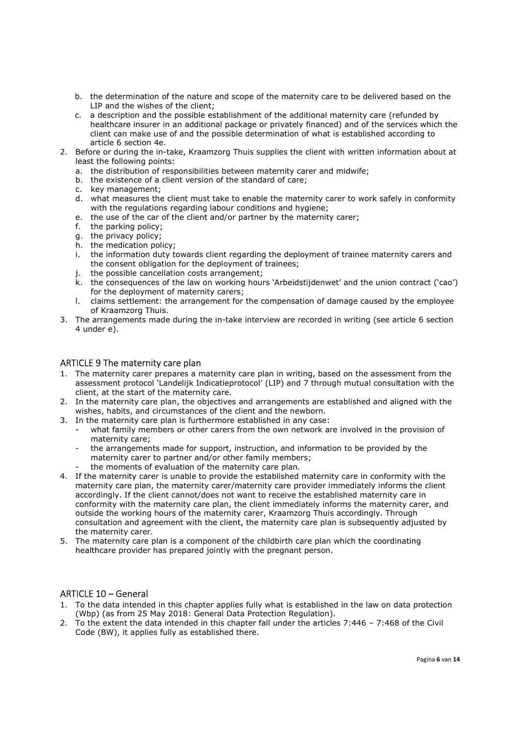- b. the determination of the nature and scope of the maternity care to be delivered based on the LIP and the wishes of the client;
- c. a description and the possible establishment of the additional maternity care (refunded by healthcare insurer in an additional package or privately financed) and of the services which the client can make use of and the possible determination of what is established according to article 6 section 4e.
- 2. Before or during the in-take, Kraamzorg Thuis supplies the client with written information about at least the following points:
	- a. the distribution of responsibilities between maternity carer and midwife;
	- b. the existence of a client version of the standard of care;
	- c. key management;
	- d. what measures the client must take to enable the maternity carer to work safely in conformity with the regulations regarding labour conditions and hygiene;
	- e. the use of the car of the client and/or partner by the maternity carer;
	- f. the parking policy;
	- g. the privacy policy;
	- h. the medication policy;
	- i. the information duty towards client regarding the deployment of trainee maternity carers and the consent obligation for the deployment of trainees;
	- j. the possible cancellation costs arrangement;
	- k. the consequences of the law on working hours 'Arbeidstijdenwet' and the union contract ('cao') for the deployment of maternity carers;
	- l. claims settlement: the arrangement for the compensation of damage caused by the employee of Kraamzorg Thuis.
- 3. The arrangements made during the in-take interview are recorded in writing (see article 6 section 4 under e).

## ARTICLE 9 The maternity care plan

- 1. The maternity carer prepares a maternity care plan in writing, based on the assessment from the assessment protocol 'Landelijk Indicatieprotocol' (LIP) and 7 through mutual consultation with the client, at the start of the maternity care.
- 2. In the maternity care plan, the objectives and arrangements are established and aligned with the wishes, habits, and circumstances of the client and the newborn.
- 3. In the maternity care plan is furthermore established in any case:
	- what family members or other carers from the own network are involved in the provision of maternity care;
	- the arrangements made for support, instruction, and information to be provided by the maternity carer to partner and/or other family members;
	- the moments of evaluation of the maternity care plan.
- 4. If the maternity carer is unable to provide the established maternity care in conformity with the maternity care plan, the maternity carer/maternity care provider immediately informs the client accordingly. If the client cannot/does not want to receive the established maternity care in conformity with the maternity care plan, the client immediately informs the maternity carer, and outside the working hours of the maternity carer, Kraamzorg Thuis accordingly. Through consultation and agreement with the client, the maternity care plan is subsequently adjusted by the maternity carer.
- 5. The maternity care plan is a component of the childbirth care plan which the coordinating healthcare provider has prepared jointly with the pregnant person.

#### ARTICLE 10 – General

- 1. To the data intended in this chapter applies fully what is established in the law on data protection (Wbp) (as from 25 May 2018: General Data Protection Regulation).
- 2. To the extent the data intended in this chapter fall under the articles 7:446 7:468 of the Civil Code (BW), it applies fully as established there.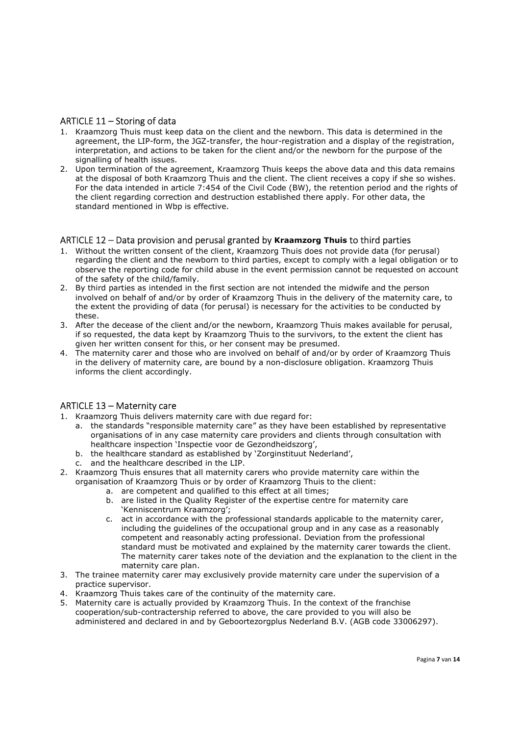#### ARTICLE 11 – Storing of data

- 1. Kraamzorg Thuis must keep data on the client and the newborn. This data is determined in the agreement, the LIP-form, the JGZ-transfer, the hour-registration and a display of the registration, interpretation, and actions to be taken for the client and/or the newborn for the purpose of the signalling of health issues.
- 2. Upon termination of the agreement, Kraamzorg Thuis keeps the above data and this data remains at the disposal of both Kraamzorg Thuis and the client. The client receives a copy if she so wishes. For the data intended in article 7:454 of the Civil Code (BW), the retention period and the rights of the client regarding correction and destruction established there apply. For other data, the standard mentioned in Wbp is effective.

#### ARTICLE 12 – Data provision and perusal granted by Kraamzorg Thuis to third parties

- 1. Without the written consent of the client, Kraamzorg Thuis does not provide data (for perusal) regarding the client and the newborn to third parties, except to comply with a legal obligation or to observe the reporting code for child abuse in the event permission cannot be requested on account of the safety of the child/family.
- 2. By third parties as intended in the first section are not intended the midwife and the person involved on behalf of and/or by order of Kraamzorg Thuis in the delivery of the maternity care, to the extent the providing of data (for perusal) is necessary for the activities to be conducted by these.
- 3. After the decease of the client and/or the newborn, Kraamzorg Thuis makes available for perusal, if so requested, the data kept by Kraamzorg Thuis to the survivors, to the extent the client has given her written consent for this, or her consent may be presumed.
- 4. The maternity carer and those who are involved on behalf of and/or by order of Kraamzorg Thuis in the delivery of maternity care, are bound by a non-disclosure obligation. Kraamzorg Thuis informs the client accordingly.

#### ARTICLE 13 – Maternity care

- 1. Kraamzorg Thuis delivers maternity care with due regard for:
	- a. the standards "responsible maternity care" as they have been established by representative organisations of in any case maternity care providers and clients through consultation with healthcare inspection 'Inspectie voor de Gezondheidszorg',
		- b. the healthcare standard as established by 'Zorginstituut Nederland',
	- c. and the healthcare described in the LIP.
- 2. Kraamzorg Thuis ensures that all maternity carers who provide maternity care within the organisation of Kraamzorg Thuis or by order of Kraamzorg Thuis to the client:
	- a. are competent and qualified to this effect at all times;
	- b. are listed in the Quality Register of the expertise centre for maternity care 'Kenniscentrum Kraamzorg';
	- c. act in accordance with the professional standards applicable to the maternity carer, including the guidelines of the occupational group and in any case as a reasonably competent and reasonably acting professional. Deviation from the professional standard must be motivated and explained by the maternity carer towards the client. The maternity carer takes note of the deviation and the explanation to the client in the maternity care plan.
- 3. The trainee maternity carer may exclusively provide maternity care under the supervision of a practice supervisor.
- 4. Kraamzorg Thuis takes care of the continuity of the maternity care.
- 5. Maternity care is actually provided by Kraamzorg Thuis. In the context of the franchise cooperation/sub-contractership referred to above, the care provided to you will also be administered and declared in and by Geboortezorgplus Nederland B.V. (AGB code 33006297).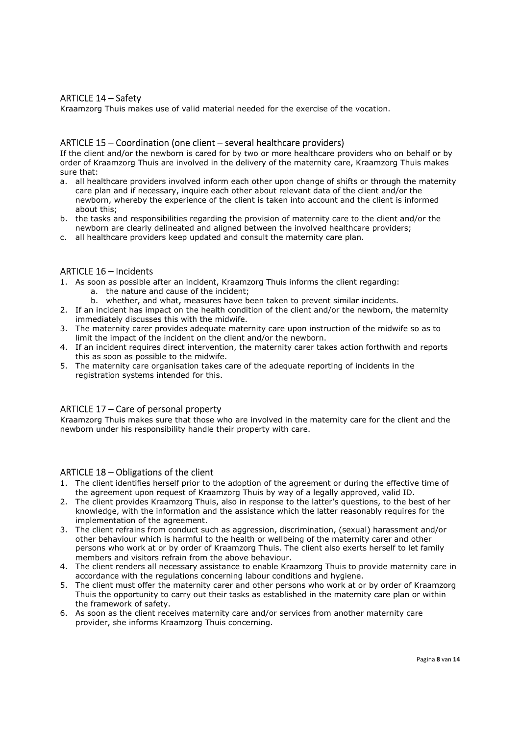## ARTICLE 14 – Safety

Kraamzorg Thuis makes use of valid material needed for the exercise of the vocation.

#### ARTICLE 15 – Coordination (one client – several healthcare providers)

If the client and/or the newborn is cared for by two or more healthcare providers who on behalf or by order of Kraamzorg Thuis are involved in the delivery of the maternity care, Kraamzorg Thuis makes sure that:

- a. all healthcare providers involved inform each other upon change of shifts or through the maternity care plan and if necessary, inquire each other about relevant data of the client and/or the newborn, whereby the experience of the client is taken into account and the client is informed about this;
- b. the tasks and responsibilities regarding the provision of maternity care to the client and/or the newborn are clearly delineated and aligned between the involved healthcare providers;
- c. all healthcare providers keep updated and consult the maternity care plan.

## ARTICLE 16 – Incidents

- 1. As soon as possible after an incident, Kraamzorg Thuis informs the client regarding:
	- a. the nature and cause of the incident;
	- b. whether, and what, measures have been taken to prevent similar incidents.
- 2. If an incident has impact on the health condition of the client and/or the newborn, the maternity immediately discusses this with the midwife.
- 3. The maternity carer provides adequate maternity care upon instruction of the midwife so as to limit the impact of the incident on the client and/or the newborn.
- 4. If an incident requires direct intervention, the maternity carer takes action forthwith and reports this as soon as possible to the midwife.
- 5. The maternity care organisation takes care of the adequate reporting of incidents in the registration systems intended for this.

#### ARTICLE 17 – Care of personal property

Kraamzorg Thuis makes sure that those who are involved in the maternity care for the client and the newborn under his responsibility handle their property with care.

#### ARTICLE 18 – Obligations of the client

- 1. The client identifies herself prior to the adoption of the agreement or during the effective time of the agreement upon request of Kraamzorg Thuis by way of a legally approved, valid ID.
- 2. The client provides Kraamzorg Thuis, also in response to the latter's questions, to the best of her knowledge, with the information and the assistance which the latter reasonably requires for the implementation of the agreement.
- 3. The client refrains from conduct such as aggression, discrimination, (sexual) harassment and/or other behaviour which is harmful to the health or wellbeing of the maternity carer and other persons who work at or by order of Kraamzorg Thuis. The client also exerts herself to let family members and visitors refrain from the above behaviour.
- 4. The client renders all necessary assistance to enable Kraamzorg Thuis to provide maternity care in accordance with the regulations concerning labour conditions and hygiene.
- 5. The client must offer the maternity carer and other persons who work at or by order of Kraamzorg Thuis the opportunity to carry out their tasks as established in the maternity care plan or within the framework of safety.
- 6. As soon as the client receives maternity care and/or services from another maternity care provider, she informs Kraamzorg Thuis concerning.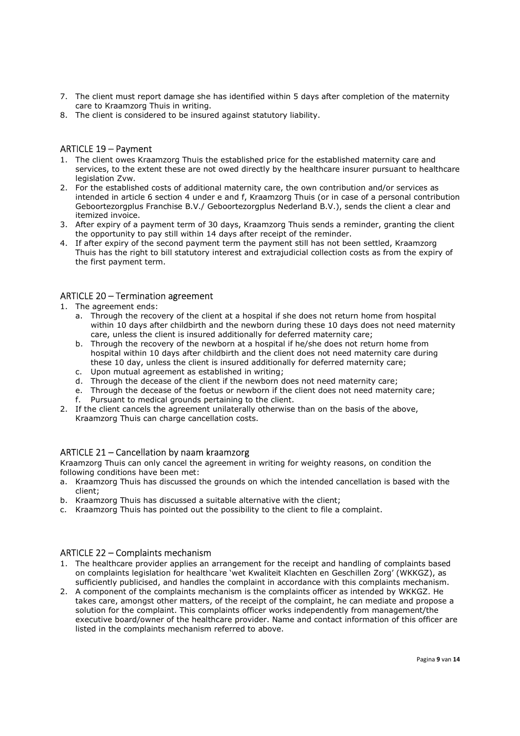- 7. The client must report damage she has identified within 5 days after completion of the maternity care to Kraamzorg Thuis in writing.
- 8. The client is considered to be insured against statutory liability.

## ARTICLE 19 – Payment

- 1. The client owes Kraamzorg Thuis the established price for the established maternity care and services, to the extent these are not owed directly by the healthcare insurer pursuant to healthcare legislation Zvw.
- 2. For the established costs of additional maternity care, the own contribution and/or services as intended in article 6 section 4 under e and f, Kraamzorg Thuis (or in case of a personal contribution Geboortezorgplus Franchise B.V./ Geboortezorgplus Nederland B.V.), sends the client a clear and itemized invoice.
- 3. After expiry of a payment term of 30 days, Kraamzorg Thuis sends a reminder, granting the client the opportunity to pay still within 14 days after receipt of the reminder.
- 4. If after expiry of the second payment term the payment still has not been settled, Kraamzorg Thuis has the right to bill statutory interest and extrajudicial collection costs as from the expiry of the first payment term.

#### ARTICLE 20 – Termination agreement

- 1. The agreement ends:
	- a. Through the recovery of the client at a hospital if she does not return home from hospital within 10 days after childbirth and the newborn during these 10 days does not need maternity care, unless the client is insured additionally for deferred maternity care;
	- b. Through the recovery of the newborn at a hospital if he/she does not return home from hospital within 10 days after childbirth and the client does not need maternity care during these 10 day, unless the client is insured additionally for deferred maternity care;
	- c. Upon mutual agreement as established in writing;
	- d. Through the decease of the client if the newborn does not need maternity care;
	- e. Through the decease of the foetus or newborn if the client does not need maternity care; f. Pursuant to medical grounds pertaining to the client.
- 2. If the client cancels the agreement unilaterally otherwise than on the basis of the above, Kraamzorg Thuis can charge cancellation costs.

#### ARTICLE 21 – Cancellation by naam kraamzorg

Kraamzorg Thuis can only cancel the agreement in writing for weighty reasons, on condition the following conditions have been met:

- a. Kraamzorg Thuis has discussed the grounds on which the intended cancellation is based with the client;
- b. Kraamzorg Thuis has discussed a suitable alternative with the client;
- c. Kraamzorg Thuis has pointed out the possibility to the client to file a complaint.

#### ARTICLE 22 – Complaints mechanism

- 1. The healthcare provider applies an arrangement for the receipt and handling of complaints based on complaints legislation for healthcare 'wet Kwaliteit Klachten en Geschillen Zorg' (WKKGZ), as sufficiently publicised, and handles the complaint in accordance with this complaints mechanism.
- 2. A component of the complaints mechanism is the complaints officer as intended by WKKGZ. He takes care, amongst other matters, of the receipt of the complaint, he can mediate and propose a solution for the complaint. This complaints officer works independently from management/the executive board/owner of the healthcare provider. Name and contact information of this officer are listed in the complaints mechanism referred to above.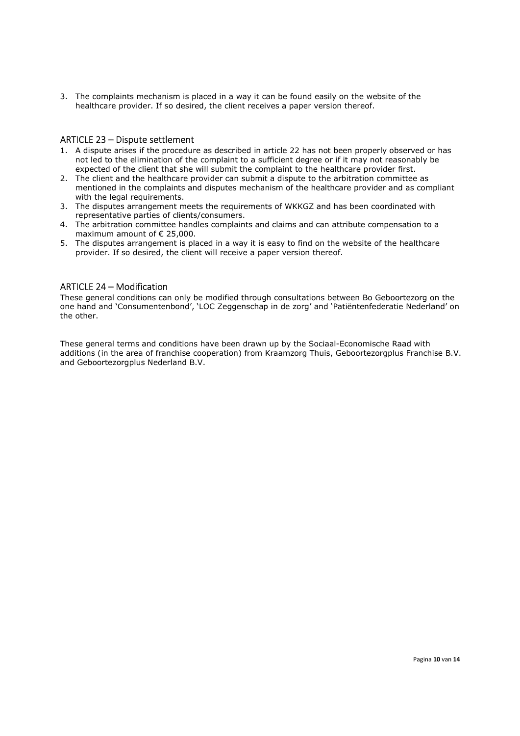3. The complaints mechanism is placed in a way it can be found easily on the website of the healthcare provider. If so desired, the client receives a paper version thereof.

#### ARTICLE 23 – Dispute settlement

- 1. A dispute arises if the procedure as described in article 22 has not been properly observed or has not led to the elimination of the complaint to a sufficient degree or if it may not reasonably be expected of the client that she will submit the complaint to the healthcare provider first.
- 2. The client and the healthcare provider can submit a dispute to the arbitration committee as mentioned in the complaints and disputes mechanism of the healthcare provider and as compliant with the legal requirements.
- 3. The disputes arrangement meets the requirements of WKKGZ and has been coordinated with representative parties of clients/consumers.
- 4. The arbitration committee handles complaints and claims and can attribute compensation to a maximum amount of € 25,000.
- 5. The disputes arrangement is placed in a way it is easy to find on the website of the healthcare provider. If so desired, the client will receive a paper version thereof.

## ARTICLE 24 – Modification

These general conditions can only be modified through consultations between Bo Geboortezorg on the one hand and 'Consumentenbond', 'LOC Zeggenschap in de zorg' and 'Patiëntenfederatie Nederland' on the other.

These general terms and conditions have been drawn up by the Sociaal-Economische Raad with additions (in the area of franchise cooperation) from Kraamzorg Thuis, Geboortezorgplus Franchise B.V. and Geboortezorgplus Nederland B.V.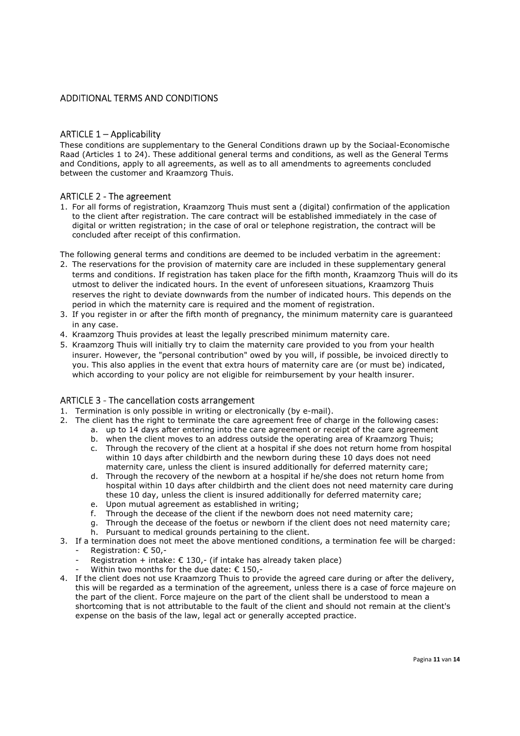## ADDITIONAL TERMS AND CONDITIONS

## ARTICLE 1 – Applicability

These conditions are supplementary to the General Conditions drawn up by the Sociaal-Economische Raad (Articles 1 to 24). These additional general terms and conditions, as well as the General Terms and Conditions, apply to all agreements, as well as to all amendments to agreements concluded between the customer and Kraamzorg Thuis.

#### ARTICLE 2 - The agreement

1. For all forms of registration, Kraamzorg Thuis must sent a (digital) confirmation of the application to the client after registration. The care contract will be established immediately in the case of digital or written registration; in the case of oral or telephone registration, the contract will be concluded after receipt of this confirmation.

The following general terms and conditions are deemed to be included verbatim in the agreement:

- 2. The reservations for the provision of maternity care are included in these supplementary general terms and conditions. If registration has taken place for the fifth month, Kraamzorg Thuis will do its utmost to deliver the indicated hours. In the event of unforeseen situations, Kraamzorg Thuis reserves the right to deviate downwards from the number of indicated hours. This depends on the period in which the maternity care is required and the moment of registration.
- 3. If you register in or after the fifth month of pregnancy, the minimum maternity care is guaranteed in any case.
- 4. Kraamzorg Thuis provides at least the legally prescribed minimum maternity care.
- 5. Kraamzorg Thuis will initially try to claim the maternity care provided to you from your health insurer. However, the "personal contribution" owed by you will, if possible, be invoiced directly to you. This also applies in the event that extra hours of maternity care are (or must be) indicated, which according to your policy are not eligible for reimbursement by your health insurer.

#### ARTICLE 3 - The cancellation costs arrangement

- 1. Termination is only possible in writing or electronically (by e-mail).
- 2. The client has the right to terminate the care agreement free of charge in the following cases:
	- a. up to 14 days after entering into the care agreement or receipt of the care agreement
	- b. when the client moves to an address outside the operating area of Kraamzorg Thuis;
	- c. Through the recovery of the client at a hospital if she does not return home from hospital within 10 days after childbirth and the newborn during these 10 days does not need maternity care, unless the client is insured additionally for deferred maternity care;
	- d. Through the recovery of the newborn at a hospital if he/she does not return home from hospital within 10 days after childbirth and the client does not need maternity care during these 10 day, unless the client is insured additionally for deferred maternity care;
	- e. Upon mutual agreement as established in writing;
	- f. Through the decease of the client if the newborn does not need maternity care;
	- g. Through the decease of the foetus or newborn if the client does not need maternity care;
	- h. Pursuant to medical grounds pertaining to the client.
- 3. If a termination does not meet the above mentioned conditions, a termination fee will be charged: Registration: € 50,-
	- Registration + intake:  $\epsilon$  130,- (if intake has already taken place)
	- Within two months for the due date:  $\epsilon$  150,-
- 4. If the client does not use Kraamzorg Thuis to provide the agreed care during or after the delivery, this will be regarded as a termination of the agreement, unless there is a case of force majeure on the part of the client. Force majeure on the part of the client shall be understood to mean a shortcoming that is not attributable to the fault of the client and should not remain at the client's expense on the basis of the law, legal act or generally accepted practice.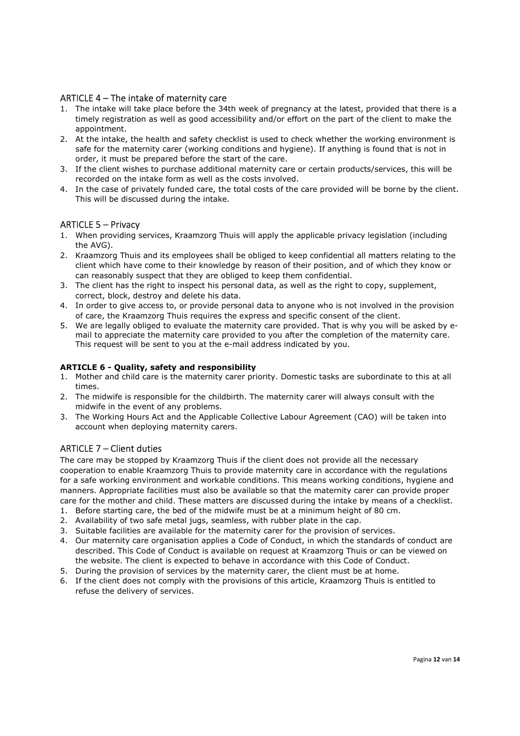# ARTICLE 4 – The intake of maternity care

- 1. The intake will take place before the 34th week of pregnancy at the latest, provided that there is a timely registration as well as good accessibility and/or effort on the part of the client to make the appointment.
- 2. At the intake, the health and safety checklist is used to check whether the working environment is safe for the maternity carer (working conditions and hygiene). If anything is found that is not in order, it must be prepared before the start of the care.
- 3. If the client wishes to purchase additional maternity care or certain products/services, this will be recorded on the intake form as well as the costs involved.
- 4. In the case of privately funded care, the total costs of the care provided will be borne by the client. This will be discussed during the intake.

## ARTICLE 5 – Privacy

- 1. When providing services, Kraamzorg Thuis will apply the applicable privacy legislation (including the AVG).
- 2. Kraamzorg Thuis and its employees shall be obliged to keep confidential all matters relating to the client which have come to their knowledge by reason of their position, and of which they know or can reasonably suspect that they are obliged to keep them confidential.
- 3. The client has the right to inspect his personal data, as well as the right to copy, supplement, correct, block, destroy and delete his data.
- 4. In order to give access to, or provide personal data to anyone who is not involved in the provision of care, the Kraamzorg Thuis requires the express and specific consent of the client.
- 5. We are legally obliged to evaluate the maternity care provided. That is why you will be asked by email to appreciate the maternity care provided to you after the completion of the maternity care. This request will be sent to you at the e-mail address indicated by you.

#### ARTICLE 6 - Quality, safety and responsibility

- 1. Mother and child care is the maternity carer priority. Domestic tasks are subordinate to this at all times.
- 2. The midwife is responsible for the childbirth. The maternity carer will always consult with the midwife in the event of any problems.
- 3. The Working Hours Act and the Applicable Collective Labour Agreement (CAO) will be taken into account when deploying maternity carers.

#### ARTICLE 7 – Client duties

The care may be stopped by Kraamzorg Thuis if the client does not provide all the necessary cooperation to enable Kraamzorg Thuis to provide maternity care in accordance with the regulations for a safe working environment and workable conditions. This means working conditions, hygiene and manners. Appropriate facilities must also be available so that the maternity carer can provide proper care for the mother and child. These matters are discussed during the intake by means of a checklist.

- 1. Before starting care, the bed of the midwife must be at a minimum height of 80 cm.
- 2. Availability of two safe metal jugs, seamless, with rubber plate in the cap.
- 3. Suitable facilities are available for the maternity carer for the provision of services.
- 4. Our maternity care organisation applies a Code of Conduct, in which the standards of conduct are described. This Code of Conduct is available on request at Kraamzorg Thuis or can be viewed on the website. The client is expected to behave in accordance with this Code of Conduct.
- 5. During the provision of services by the maternity carer, the client must be at home.
- 6. If the client does not comply with the provisions of this article, Kraamzorg Thuis is entitled to refuse the delivery of services.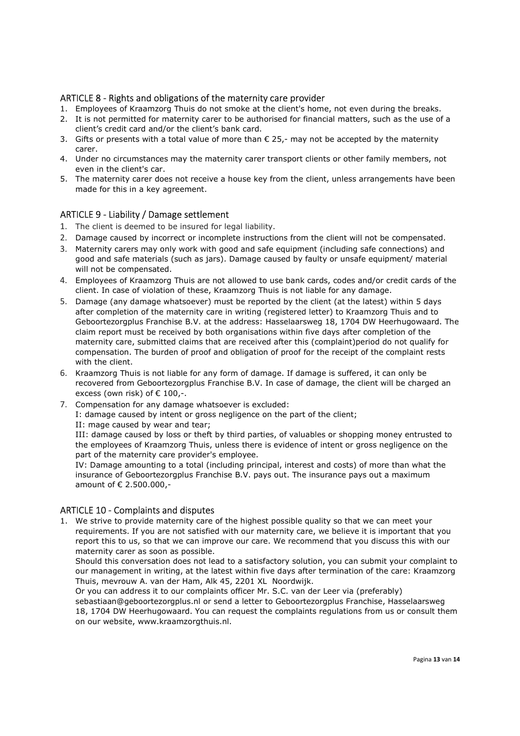## ARTICLE 8 - Rights and obligations of the maternity care provider

- 1. Employees of Kraamzorg Thuis do not smoke at the client's home, not even during the breaks.
- 2. It is not permitted for maternity carer to be authorised for financial matters, such as the use of a client's credit card and/or the client's bank card.
- 3. Gifts or presents with a total value of more than € 25,- may not be accepted by the maternity carer.
- 4. Under no circumstances may the maternity carer transport clients or other family members, not even in the client's car.
- 5. The maternity carer does not receive a house key from the client, unless arrangements have been made for this in a key agreement.

#### ARTICLE 9 - Liability / Damage settlement

- 1. The client is deemed to be insured for legal liability.
- 2. Damage caused by incorrect or incomplete instructions from the client will not be compensated.
- 3. Maternity carers may only work with good and safe equipment (including safe connections) and good and safe materials (such as jars). Damage caused by faulty or unsafe equipment/ material will not be compensated.
- 4. Employees of Kraamzorg Thuis are not allowed to use bank cards, codes and/or credit cards of the client. In case of violation of these, Kraamzorg Thuis is not liable for any damage.
- 5. Damage (any damage whatsoever) must be reported by the client (at the latest) within 5 days after completion of the maternity care in writing (registered letter) to Kraamzorg Thuis and to Geboortezorgplus Franchise B.V. at the address: Hasselaarsweg 18, 1704 DW Heerhugowaard. The claim report must be received by both organisations within five days after completion of the maternity care, submitted claims that are received after this (complaint)period do not qualify for compensation. The burden of proof and obligation of proof for the receipt of the complaint rests with the client.
- 6. Kraamzorg Thuis is not liable for any form of damage. If damage is suffered, it can only be recovered from Geboortezorgplus Franchise B.V. In case of damage, the client will be charged an excess (own risk) of  $\epsilon$  100,-.
- 7. Compensation for any damage whatsoever is excluded: I: damage caused by intent or gross negligence on the part of the client; II: mage caused by wear and tear;

III: damage caused by loss or theft by third parties, of valuables or shopping money entrusted to the employees of Kraamzorg Thuis, unless there is evidence of intent or gross negligence on the part of the maternity care provider's employee.

IV: Damage amounting to a total (including principal, interest and costs) of more than what the insurance of Geboortezorgplus Franchise B.V. pays out. The insurance pays out a maximum amount of € 2.500.000,-

#### ARTICLE 10 - Complaints and disputes

1. We strive to provide maternity care of the highest possible quality so that we can meet your requirements. If you are not satisfied with our maternity care, we believe it is important that you report this to us, so that we can improve our care. We recommend that you discuss this with our maternity carer as soon as possible.

Should this conversation does not lead to a satisfactory solution, you can submit your complaint to our management in writing, at the latest within five days after termination of the care: Kraamzorg Thuis, mevrouw A. van der Ham, Alk 45, 2201 XL Noordwijk.

Or you can address it to our complaints officer Mr. S.C. van der Leer via (preferably) sebastiaan@geboortezorgplus.nl or send a letter to Geboortezorgplus Franchise, Hasselaarsweg 18, 1704 DW Heerhugowaard. You can request the complaints regulations from us or consult them on our website, www.kraamzorgthuis.nl.